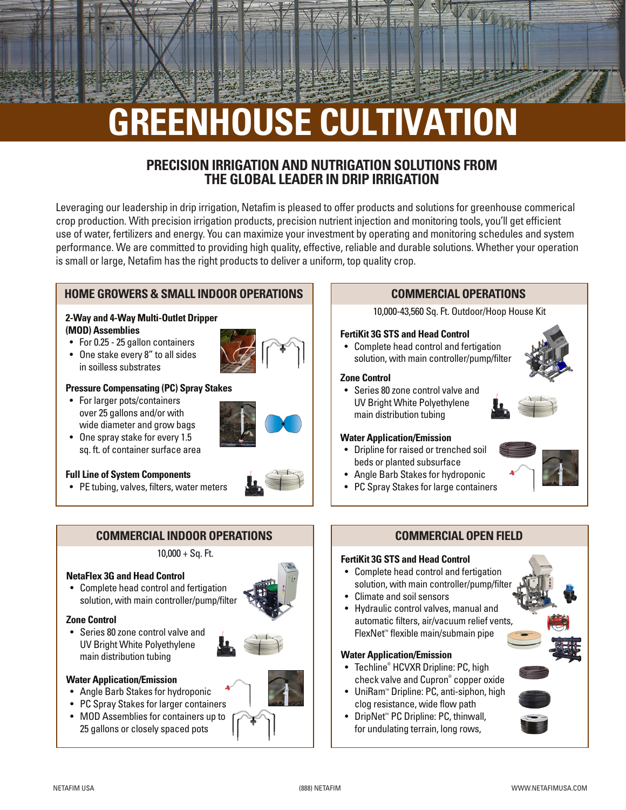# **GREENHOUSE CULTIVATION**

## **PRECISION IRRIGATION AND NUTRIGATION SOLUTIONS FROM THE GLOBAL LEADER IN DRIP IRRIGATION**

Leveraging our leadership in drip irrigation, Netafim is pleased to offer products and solutions for greenhouse commerical crop production. With precision irrigation products, precision nutrient injection and monitoring tools, you'll get efficient use of water, fertilizers and energy. You can maximize your investment by operating and monitoring schedules and system performance. We are committed to providing high quality, effective, reliable and durable solutions. Whether your operation is small or large, Netafim has the right products to deliver a uniform, top quality crop.

## **HOME GROWERS & SMALL INDOOR OPERATIONS**

#### **2-Way and 4-Way Multi-Outlet Dripper (MOD) Assemblies**

- For 0.25 25 gallon containers
- One stake every 8" to all sides in soilless substrates



#### **Pressure Compensating (PC) Spray Stakes**

- For larger pots/containers over 25 gallons and/or with wide diameter and grow bags
- One spray stake for every 1.5 sq. ft. of container surface area



• PE tubing, valves, filters, water meters



 $10,000 + Sq.$  Ft.

#### **NetaFlex 3G and Head Control**

• Complete head control and fertigation solution, with main controller/pump/filter

#### **Zone Control**

• Series 80 zone control valve and UV Bright White Polyethylene main distribution tubing



#### **Water Application/Emission**

- Angle Barb Stakes for hydroponic
- PC Spray Stakes for larger containers
- MOD Assemblies for containers up to 25 gallons or closely spaced pots

## **COMMERCIAL OPERATIONS**

10,000-43,560 Sq. Ft. Outdoor/Hoop House Kit

#### **FertiKit 3G STS and Head Control**

• Complete head control and fertigation solution, with main controller/pump/filter

#### **Zone Control**



• Series 80 zone control valve and UV Bright White Polyethylene main distribution tubing

#### **Water Application/Emission**

- Dripline for raised or trenched soil beds or planted subsurface
- Angle Barb Stakes for hydroponic
- PC Spray Stakes for large containers

## **COMMERCIAL OPEN FIELD**

#### **FertiKit 3G STS and Head Control**

- Complete head control and fertigation solution, with main controller/pump/filter
- Climate and soil sensors
- Hydraulic control valves, manual and automatic filters, air/vacuum relief vents,  $F$ lexNet<sup>®</sup> flexible main/submain pipe

#### **Water Application/Emission**

- Techline® HCVXR Dripline: PC, high check valve and Cupron® copper oxide
- UniRam<sup>™</sup> Dripline: PC, anti-siphon, high clog resistance, wide flow path
- DripNet<sup>\*</sup> PC Dripline: PC, thinwall, for undulating terrain, long rows,